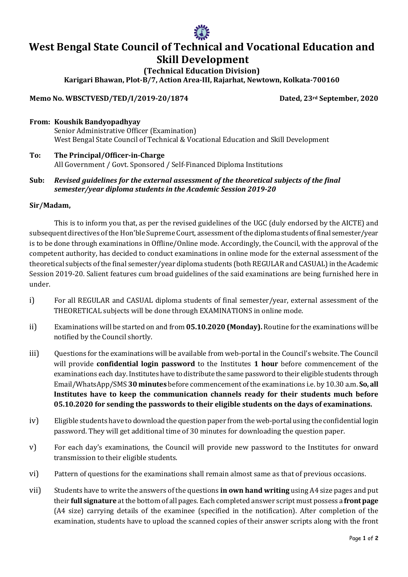## West Bengal State Council of Technical and Vocational Education and Skill Development

(Technical Education Division)

Karigari Bhawan, Plot-B/7, Action Area-III, Rajarhat, Newtown, Kolkata-700160

## Memo No. WBSCTVESD/TED/I/2019-20/1874 Dated, 23rd September, 2020

- From: Koushik Bandyopadhyay Senior Administrative Officer (Examination) West Bengal State Council of Technical & Vocational Education and Skill Development
- To: The Principal/Officer-in-Charge All Government / Govt. Sponsored / Self-Financed Diploma Institutions

## Sub: Revised guidelines for the external assessment of the theoretical subjects of the final semester/year diploma students in the Academic Session 2019-20

## Sir/Madam,

This is to inform you that, as per the revised guidelines of the UGC (duly endorsed by the AICTE) and subsequent directives of the Hon'ble Supreme Court, assessment of the diploma students of final semester/year is to be done through examinations in Offline/Online mode. Accordingly, the Council, with the approval of the competent authority, has decided to conduct examinations in online mode for the external assessment of the theoretical subjects of the final semester/year diploma students (both REGULAR and CASUAL) in the Academic Session 2019-20. Salient features cum broad guidelines of the said examinations are being furnished here in under.

- i) For all REGULAR and CASUAL diploma students of final semester/year, external assessment of the THEORETICAL subjects will be done through EXAMINATIONS in online mode.
- ii) Examinations will be started on and from 05.10.2020 (Monday). Routine for the examinations will be notified by the Council shortly.
- iii) Questions for the examinations will be available from web-portal in the Council's website. The Council will provide **confidential login password** to the Institutes 1 hour before commencement of the examinations each day. Institutes have to distribute the same password to their eligible students through Email/WhatsApp/SMS 30 minutes before commencement of the examinations i.e. by 10.30 a.m. So, all Institutes have to keep the communication channels ready for their students much before 05.10.2020 for sending the passwords to their eligible students on the days of examinations.
- iv) Eligible students have to download the question paper from the web-portal using the confidential login password. They will get additional time of 30 minutes for downloading the question paper.
- v) For each day's examinations, the Council will provide new password to the Institutes for onward transmission to their eligible students.
- vi) Pattern of questions for the examinations shall remain almost same as that of previous occasions.
- vii) Students have to write the answers of the questions in own hand writing using A4 size pages and put their **full signature** at the bottom of all pages. Each completed answer script must possess a front page (A4 size) carrying details of the examinee (specified in the notification). After completion of the examination, students have to upload the scanned copies of their answer scripts along with the front